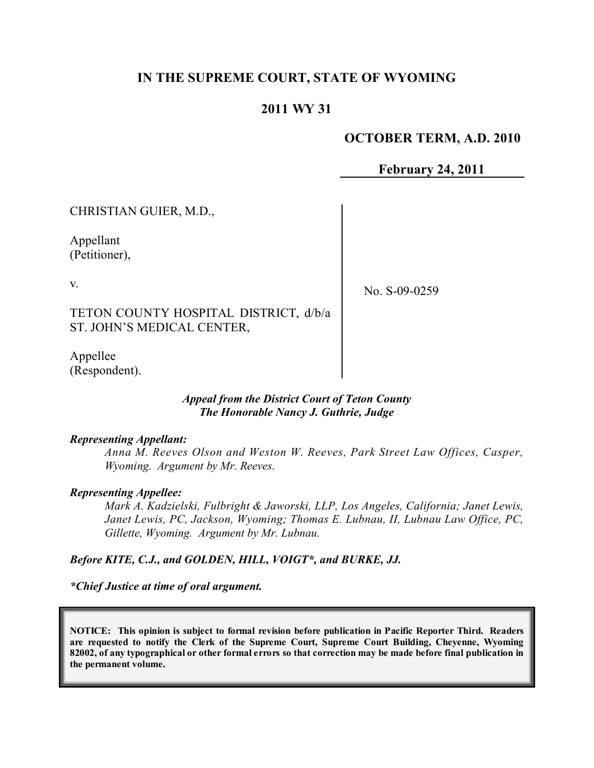## **IN THE SUPREME COURT, STATE OF WYOMING**

## **2011 WY 31**

### **OCTOBER TERM, A.D. 2010**

**February 24, 2011**

CHRISTIAN GUIER, M.D.,

Appellant (Petitioner),

v.

No. S-09-0259

TETON COUNTY HOSPITAL DISTRICT, d/b/a ST. JOHN'S MEDICAL CENTER,

Appellee (Respondent).

> *Appeal from the District Court of Teton County The Honorable Nancy J. Guthrie, Judge*

#### *Representing Appellant:*

*Anna M. Reeves Olson and Weston W. Reeves, Park Street Law Offices, Casper, Wyoming. Argument by Mr. Reeves.*

#### *Representing Appellee:*

*Mark A. Kadzielski, Fulbright & Jaworski, LLP, Los Angeles, California; Janet Lewis, Janet Lewis, PC, Jackson, Wyoming; Thomas E. Lubnau, II, Lubnau Law Office, PC, Gillette, Wyoming. Argument by Mr. Lubnau.*

#### *Before KITE, C.J., and GOLDEN, HILL, VOIGT\*, and BURKE, JJ.*

*\*Chief Justice at time of oral argument.*

**NOTICE: This opinion is subject to formal revision before publication in Pacific Reporter Third. Readers are requested to notify the Clerk of the Supreme Court, Supreme Court Building, Cheyenne, Wyoming** 82002, of any typographical or other formal errors so that correction may be made before final publication in **the permanent volume.**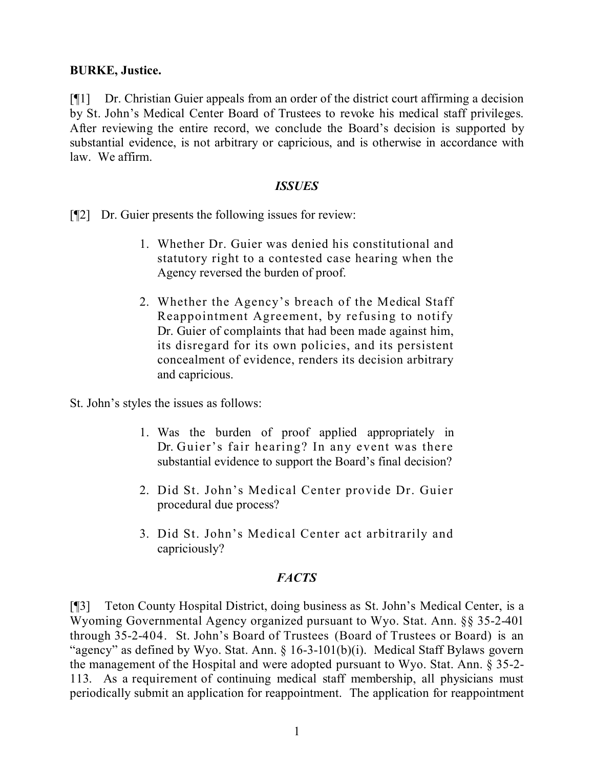### **BURKE, Justice.**

[¶1] Dr. Christian Guier appeals from an order of the district court affirming a decision by St. John's Medical Center Board of Trustees to revoke his medical staff privileges. After reviewing the entire record, we conclude the Board's decision is supported by substantial evidence, is not arbitrary or capricious, and is otherwise in accordance with law. We affirm.

### *ISSUES*

[¶2] Dr. Guier presents the following issues for review:

- 1. Whether Dr. Guier was denied his constitutional and statutory right to a contested case hearing when the Agency reversed the burden of proof.
- 2. Whether the Agency's breach of the Medical Staff Reappointment Agreement, by refusing to notify Dr. Guier of complaints that had been made against him, its disregard for its own policies, and its persistent concealment of evidence, renders its decision arbitrary and capricious.

St. John's styles the issues as follows:

- 1. Was the burden of proof applied appropriately in Dr. Guier's fair hearing? In any event was there substantial evidence to support the Board's final decision?
- 2. Did St. John's Medical Center provide Dr. Guier procedural due process?
- 3. Did St. John's Medical Center act arbitrarily and capriciously?

## *FACTS*

[¶3] Teton County Hospital District, doing business as St. John's Medical Center, is a Wyoming Governmental Agency organized pursuant to Wyo. Stat. Ann. §§ 35-2-401 through 35-2-404. St. John's Board of Trustees (Board of Trustees or Board) is an "agency" as defined by Wyo. Stat. Ann. § 16-3-101(b)(i). Medical Staff Bylaws govern the management of the Hospital and were adopted pursuant to Wyo. Stat. Ann. § 35-2- 113. As a requirement of continuing medical staff membership, all physicians must periodically submit an application for reappointment. The application for reappointment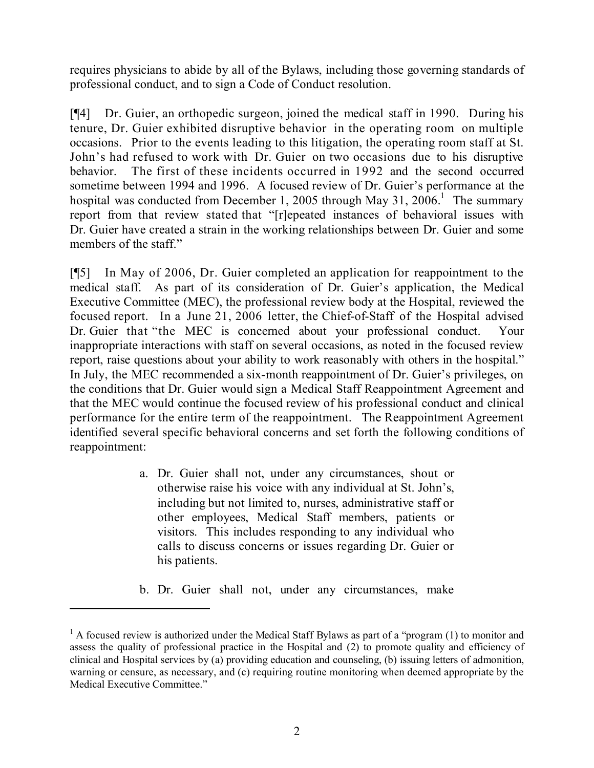requires physicians to abide by all of the Bylaws, including those governing standards of professional conduct, and to sign a Code of Conduct resolution.

[¶4] Dr. Guier, an orthopedic surgeon, joined the medical staff in 1990. During his tenure, Dr. Guier exhibited disruptive behavior in the operating room on multiple occasions. Prior to the events leading to this litigation, the operating room staff at St. John's had refused to work with Dr. Guier on two occasions due to his disruptive behavior. The first of these incidents occurred in 1992 and the second occurred sometime between 1994 and 1996. A focused review of Dr. Guier's performance at the hospital was conducted from December 1, 2005 through May 31, 2006.<sup>1</sup> The summary report from that review stated that "[r]epeated instances of behavioral issues with Dr. Guier have created a strain in the working relationships between Dr. Guier and some members of the staff."

[¶5] In May of 2006, Dr. Guier completed an application for reappointment to the medical staff. As part of its consideration of Dr. Guier's application, the Medical Executive Committee (MEC), the professional review body at the Hospital, reviewed the focused report. In a June 21, 2006 letter, the Chief-of-Staff of the Hospital advised Dr. Guier that "the MEC is concerned about your professional conduct. Your inappropriate interactions with staff on several occasions, as noted in the focused review report, raise questions about your ability to work reasonably with others in the hospital." In July, the MEC recommended a six-month reappointment of Dr. Guier's privileges, on the conditions that Dr. Guier would sign a Medical Staff Reappointment Agreement and that the MEC would continue the focused review of his professional conduct and clinical performance for the entire term of the reappointment. The Reappointment Agreement identified several specific behavioral concerns and set forth the following conditions of reappointment:

- a. Dr. Guier shall not, under any circumstances, shout or otherwise raise his voice with any individual at St. John's, including but not limited to, nurses, administrative staff or other employees, Medical Staff members, patients or visitors. This includes responding to any individual who calls to discuss concerns or issues regarding Dr. Guier or his patients.
- b. Dr. Guier shall not, under any circumstances, make

 $<sup>1</sup>$  A focused review is authorized under the Medical Staff Bylaws as part of a "program (1) to monitor and</sup> assess the quality of professional practice in the Hospital and (2) to promote quality and efficiency of clinical and Hospital services by (a) providing education and counseling, (b) issuing letters of admonition, warning or censure, as necessary, and (c) requiring routine monitoring when deemed appropriate by the Medical Executive Committee."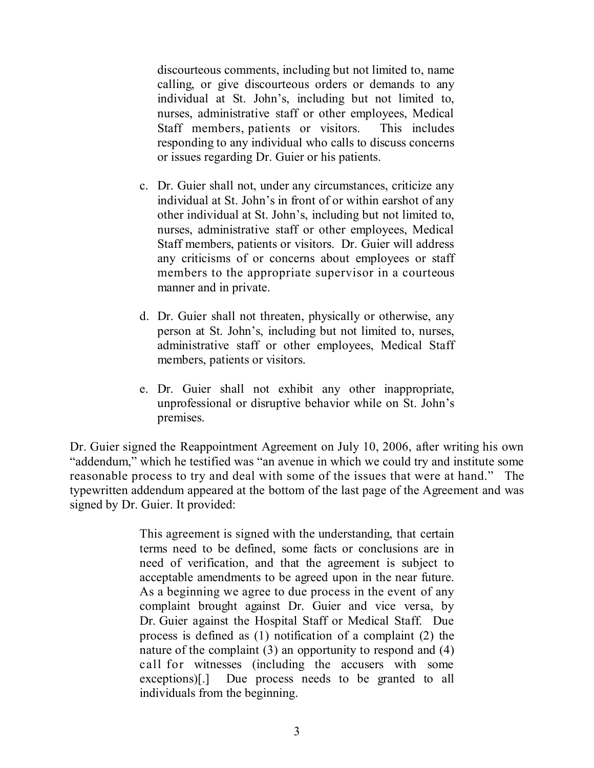discourteous comments, including but not limited to, name calling, or give discourteous orders or demands to any individual at St. John's, including but not limited to, nurses, administrative staff or other employees, Medical Staff members, patients or visitors. This includes responding to any individual who calls to discuss concerns or issues regarding Dr. Guier or his patients.

- c. Dr. Guier shall not, under any circumstances, criticize any individual at St. John's in front of or within earshot of any other individual at St. John's, including but not limited to, nurses, administrative staff or other employees, Medical Staff members, patients or visitors. Dr. Guier will address any criticisms of or concerns about employees or staff members to the appropriate supervisor in a courteous manner and in private.
- d. Dr. Guier shall not threaten, physically or otherwise, any person at St. John's, including but not limited to, nurses, administrative staff or other employees, Medical Staff members, patients or visitors.
- e. Dr. Guier shall not exhibit any other inappropriate, unprofessional or disruptive behavior while on St. John's premises.

Dr. Guier signed the Reappointment Agreement on July 10, 2006, after writing his own "addendum," which he testified was "an avenue in which we could try and institute some reasonable process to try and deal with some of the issues that were at hand." The typewritten addendum appeared at the bottom of the last page of the Agreement and was signed by Dr. Guier. It provided:

> This agreement is signed with the understanding, that certain terms need to be defined, some facts or conclusions are in need of verification, and that the agreement is subject to acceptable amendments to be agreed upon in the near future. As a beginning we agree to due process in the event of any complaint brought against Dr. Guier and vice versa, by Dr. Guier against the Hospital Staff or Medical Staff. Due process is defined as (1) notification of a complaint (2) the nature of the complaint (3) an opportunity to respond and (4) call for witnesses (including the accusers with some exceptions)[.] Due process needs to be granted to all individuals from the beginning.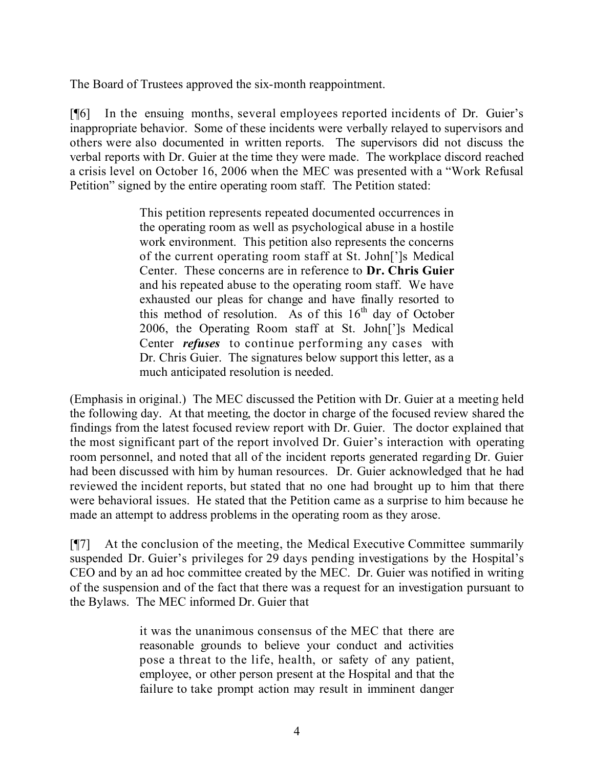The Board of Trustees approved the six-month reappointment.

[¶6] In the ensuing months, several employees reported incidents of Dr. Guier's inappropriate behavior. Some of these incidents were verbally relayed to supervisors and others were also documented in written reports. The supervisors did not discuss the verbal reports with Dr. Guier at the time they were made. The workplace discord reached a crisis level on October 16, 2006 when the MEC was presented with a "Work Refusal Petition" signed by the entire operating room staff. The Petition stated:

> This petition represents repeated documented occurrences in the operating room as well as psychological abuse in a hostile work environment. This petition also represents the concerns of the current operating room staff at St. John[']s Medical Center. These concerns are in reference to **Dr. Chris Guier** and his repeated abuse to the operating room staff. We have exhausted our pleas for change and have finally resorted to this method of resolution. As of this  $16<sup>th</sup>$  day of October 2006, the Operating Room staff at St. John[']s Medical Center *refuses* to continue performing any cases with Dr. Chris Guier. The signatures below support this letter, as a much anticipated resolution is needed.

(Emphasis in original.) The MEC discussed the Petition with Dr. Guier at a meeting held the following day. At that meeting, the doctor in charge of the focused review shared the findings from the latest focused review report with Dr. Guier. The doctor explained that the most significant part of the report involved Dr. Guier's interaction with operating room personnel, and noted that all of the incident reports generated regarding Dr. Guier had been discussed with him by human resources. Dr. Guier acknowledged that he had reviewed the incident reports, but stated that no one had brought up to him that there were behavioral issues. He stated that the Petition came as a surprise to him because he made an attempt to address problems in the operating room as they arose.

[¶7] At the conclusion of the meeting, the Medical Executive Committee summarily suspended Dr. Guier's privileges for 29 days pending investigations by the Hospital's CEO and by an ad hoc committee created by the MEC. Dr. Guier was notified in writing of the suspension and of the fact that there was a request for an investigation pursuant to the Bylaws. The MEC informed Dr. Guier that

> it was the unanimous consensus of the MEC that there are reasonable grounds to believe your conduct and activities pose a threat to the life, health, or safety of any patient, employee, or other person present at the Hospital and that the failure to take prompt action may result in imminent danger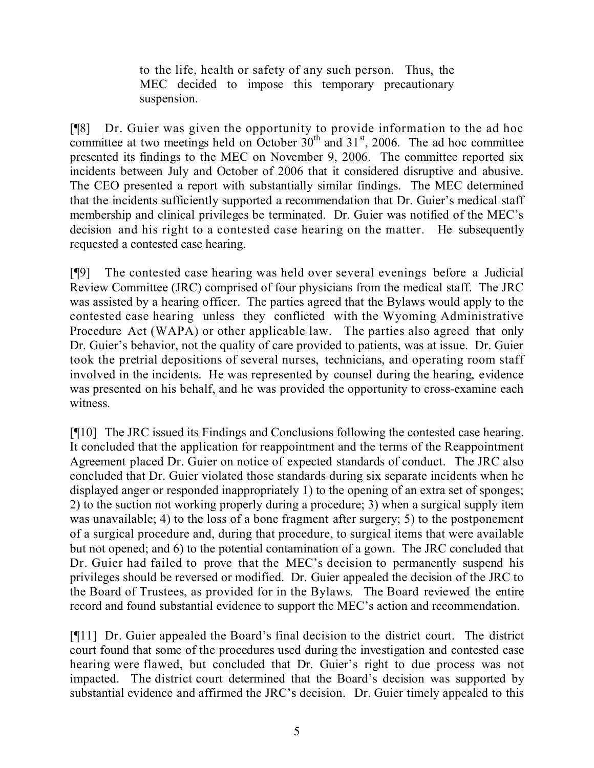to the life, health or safety of any such person. Thus, the MEC decided to impose this temporary precautionary suspension.

[¶8] Dr. Guier was given the opportunity to provide information to the ad hoc committee at two meetings held on October  $30<sup>th</sup>$  and  $31<sup>st</sup>$ , 2006. The ad hoc committee presented its findings to the MEC on November 9, 2006. The committee reported six incidents between July and October of 2006 that it considered disruptive and abusive. The CEO presented a report with substantially similar findings. The MEC determined that the incidents sufficiently supported a recommendation that Dr. Guier's medical staff membership and clinical privileges be terminated. Dr. Guier was notified of the MEC's decision and his right to a contested case hearing on the matter. He subsequently requested a contested case hearing.

[¶9] The contested case hearing was held over several evenings before a Judicial Review Committee (JRC) comprised of four physicians from the medical staff. The JRC was assisted by a hearing officer. The parties agreed that the Bylaws would apply to the contested case hearing unless they conflicted with the Wyoming Administrative Procedure Act (WAPA) or other applicable law. The parties also agreed that only Dr. Guier's behavior, not the quality of care provided to patients, was at issue. Dr. Guier took the pretrial depositions of several nurses, technicians, and operating room staff involved in the incidents. He was represented by counsel during the hearing, evidence was presented on his behalf, and he was provided the opportunity to cross-examine each witness.

[¶10] The JRC issued its Findings and Conclusions following the contested case hearing. It concluded that the application for reappointment and the terms of the Reappointment Agreement placed Dr. Guier on notice of expected standards of conduct. The JRC also concluded that Dr. Guier violated those standards during six separate incidents when he displayed anger or responded inappropriately 1) to the opening of an extra set of sponges; 2) to the suction not working properly during a procedure; 3) when a surgical supply item was unavailable; 4) to the loss of a bone fragment after surgery; 5) to the postponement of a surgical procedure and, during that procedure, to surgical items that were available but not opened; and 6) to the potential contamination of a gown. The JRC concluded that Dr. Guier had failed to prove that the MEC's decision to permanently suspend his privileges should be reversed or modified. Dr. Guier appealed the decision of the JRC to the Board of Trustees, as provided for in the Bylaws. The Board reviewed the entire record and found substantial evidence to support the MEC's action and recommendation.

[¶11] Dr. Guier appealed the Board's final decision to the district court. The district court found that some of the procedures used during the investigation and contested case hearing were flawed, but concluded that Dr. Guier's right to due process was not impacted. The district court determined that the Board's decision was supported by substantial evidence and affirmed the JRC's decision. Dr. Guier timely appealed to this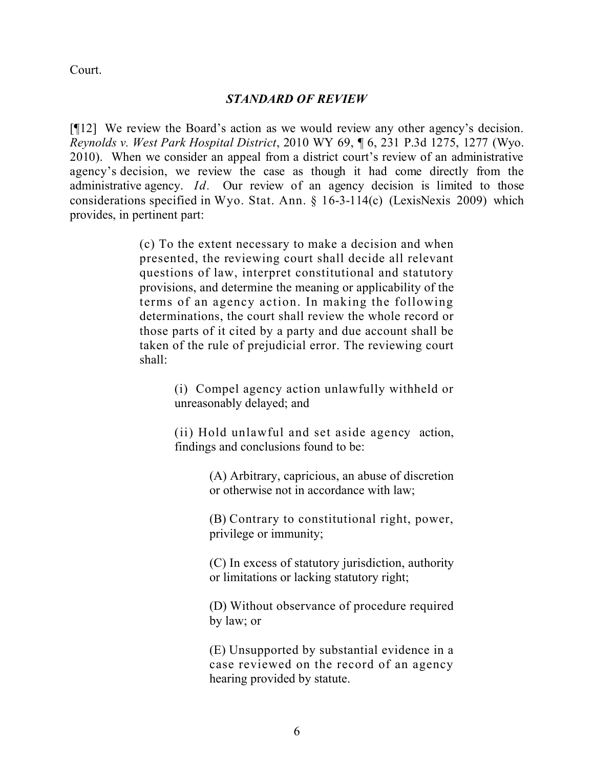Court.

#### *STANDARD OF REVIEW*

[¶12] We review the Board's action as we would review any other agency's decision. *Reynolds v. West Park Hospital District*, 2010 WY 69, ¶ 6, 231 P.3d 1275, 1277 (Wyo. 2010). When we consider an appeal from a district court's review of an administrative agency's decision, we review the case as though it had come directly from the administrative agency. *Id.* Our review of an agency decision is limited to those considerations specified in Wyo. Stat. Ann. § 16-3-114(c) (LexisNexis 2009) which provides, in pertinent part:

> (c) To the extent necessary to make a decision and when presented, the reviewing court shall decide all relevant questions of law, interpret constitutional and statutory provisions, and determine the meaning or applicability of the terms of an agency action. In making the following determinations, the court shall review the whole record or those parts of it cited by a party and due account shall be taken of the rule of prejudicial error. The reviewing court shall:

> > (i) Compel agency action unlawfully withheld or unreasonably delayed; and

> > (ii) Hold unlawful and set aside agency action, findings and conclusions found to be:

> > > (A) Arbitrary, capricious, an abuse of discretion or otherwise not in accordance with law;

> > > (B) Contrary to constitutional right, power, privilege or immunity;

> > > (C) In excess of statutory jurisdiction, authority or limitations or lacking statutory right;

> > > (D) Without observance of procedure required by law; or

> > > (E) Unsupported by substantial evidence in a case reviewed on the record of an agency hearing provided by statute.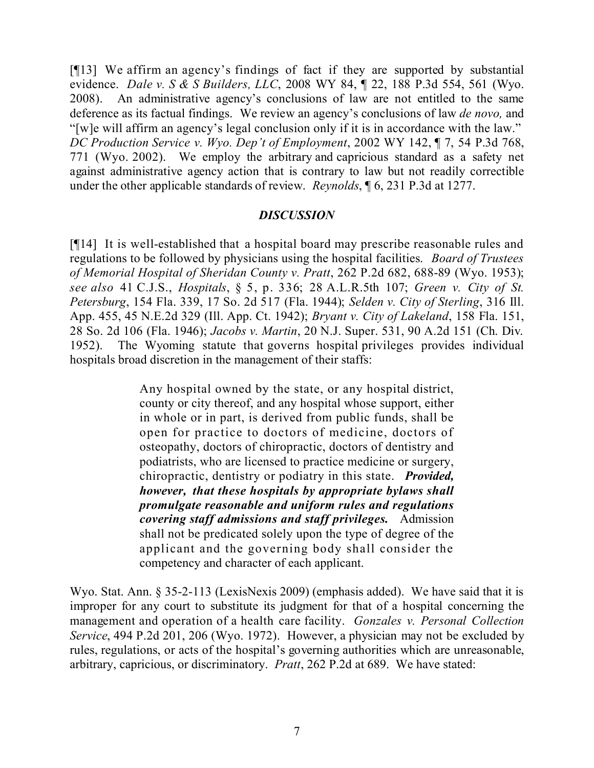[¶13] We affirm an agency's findings of fact if they are supported by substantial evidence. *Dale v. S & S Builders, LLC*, 2008 WY 84, ¶ 22, 188 P.3d 554, 561 (Wyo. 2008). An administrative agency's conclusions of law are not entitled to the same deference as its factual findings. We review an agency's conclusions of law *de novo,* and "[w]e will affirm an agency's legal conclusion only if it is in accordance with the law." *DC Production Service v. Wyo. Dep't of Employment*, 2002 WY 142, ¶ 7, 54 P.3d 768, 771 (Wyo. 2002). We employ the arbitrary and capricious standard as a safety net against administrative agency action that is contrary to law but not readily correctible under the other applicable standards of review. *Reynolds*, ¶ 6, 231 P.3d at 1277.

#### *DISCUSSION*

[¶14] It is well-established that a hospital board may prescribe reasonable rules and regulations to be followed by physicians using the hospital facilities. *Board of Trustees of Memorial Hospital of Sheridan County v. Pratt*, 262 P.2d 682, 688-89 (Wyo. 1953); *see also* 41 C.J.S., *Hospitals*, § 5, p. 336; 28 A.L.R.5th 107; *Green v. City of St. Petersburg*, 154 Fla. 339, 17 So. 2d 517 (Fla. 1944); *Selden v. City of Sterling*, 316 Ill. App. 455, 45 N.E.2d 329 (Ill. App. Ct. 1942); *Bryant v. City of Lakeland*, 158 Fla. 151, 28 So. 2d 106 (Fla. 1946); *Jacobs v. Martin*, 20 N.J. Super. 531, 90 A.2d 151 (Ch. Div. 1952). The Wyoming statute that governs hospital privileges provides individual hospitals broad discretion in the management of their staffs:

> Any hospital owned by the state, or any hospital district, county or city thereof, and any hospital whose support, either in whole or in part, is derived from public funds, shall be open for practice to doctors of medicine, doctors of osteopathy, doctors of chiropractic, doctors of dentistry and podiatrists, who are licensed to practice medicine or surgery, chiropractic, dentistry or podiatry in this state. *Provided, however, that these hospitals by appropriate bylaws shall promulgate reasonable and uniform rules and regulations covering staff admissions and staff privileges.* Admission shall not be predicated solely upon the type of degree of the applicant and the governing body shall consider the competency and character of each applicant.

Wyo. Stat. Ann. § 35-2-113 (LexisNexis 2009) (emphasis added). We have said that it is improper for any court to substitute its judgment for that of a hospital concerning the management and operation of a health care facility. *Gonzales v. Personal Collection Service*, 494 P.2d 201, 206 (Wyo. 1972). However, a physician may not be excluded by rules, regulations, or acts of the hospital's governing authorities which are unreasonable, arbitrary, capricious, or discriminatory. *Pratt*, 262 P.2d at 689. We have stated: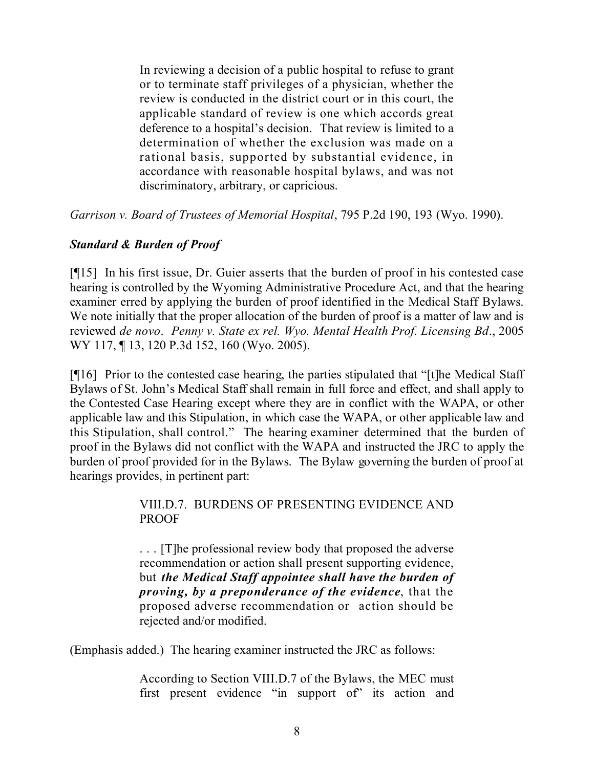In reviewing a decision of a public hospital to refuse to grant or to terminate staff privileges of a physician, whether the review is conducted in the district court or in this court, the applicable standard of review is one which accords great deference to a hospital's decision. That review is limited to a determination of whether the exclusion was made on a rational basis, supported by substantial evidence, in accordance with reasonable hospital bylaws, and was not discriminatory, arbitrary, or capricious.

*Garrison v. Board of Trustees of Memorial Hospital*, 795 P.2d 190, 193 (Wyo. 1990).

## *Standard & Burden of Proof*

[¶15] In his first issue, Dr. Guier asserts that the burden of proof in his contested case hearing is controlled by the Wyoming Administrative Procedure Act, and that the hearing examiner erred by applying the burden of proof identified in the Medical Staff Bylaws. We note initially that the proper allocation of the burden of proof is a matter of law and is reviewed *de novo*. *Penny v. State ex rel. Wyo. Mental Health Prof. Licensing Bd*., 2005 WY 117, ¶ 13, 120 P.3d 152, 160 (Wyo. 2005).

[¶16] Prior to the contested case hearing, the parties stipulated that "[t]he Medical Staff Bylaws of St. John's Medical Staff shall remain in full force and effect, and shall apply to the Contested Case Hearing except where they are in conflict with the WAPA, or other applicable law and this Stipulation, in which case the WAPA, or other applicable law and this Stipulation, shall control." The hearing examiner determined that the burden of proof in the Bylaws did not conflict with the WAPA and instructed the JRC to apply the burden of proof provided for in the Bylaws. The Bylaw governing the burden of proof at hearings provides, in pertinent part:

## VIII.D.7. BURDENS OF PRESENTING EVIDENCE AND **PROOF**

. . . [T]he professional review body that proposed the adverse recommendation or action shall present supporting evidence, but *the Medical Staff appointee shall have the burden of proving, by a preponderance of the evidence*, that the proposed adverse recommendation or action should be rejected and/or modified.

(Emphasis added.) The hearing examiner instructed the JRC as follows:

According to Section VIII.D.7 of the Bylaws, the MEC must first present evidence "in support of" its action and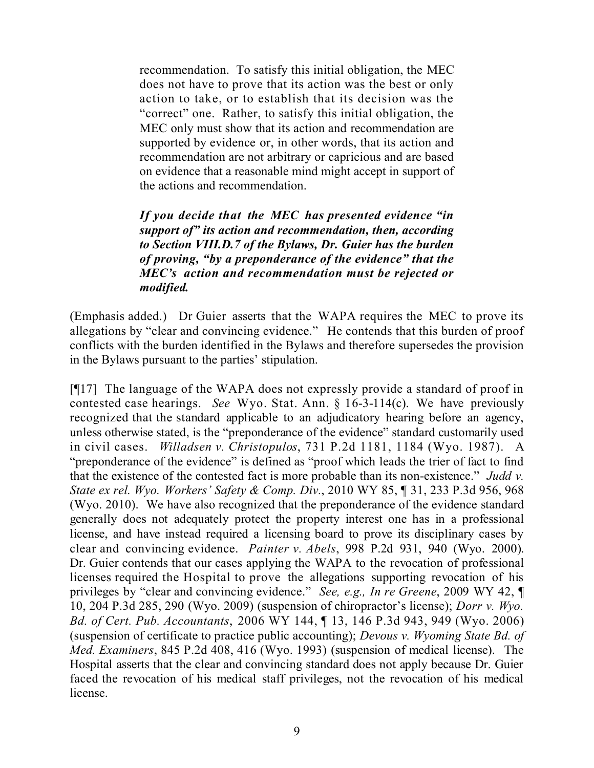recommendation. To satisfy this initial obligation, the MEC does not have to prove that its action was the best or only action to take, or to establish that its decision was the "correct" one. Rather, to satisfy this initial obligation, the MEC only must show that its action and recommendation are supported by evidence or, in other words, that its action and recommendation are not arbitrary or capricious and are based on evidence that a reasonable mind might accept in support of the actions and recommendation.

*If you decide that the MEC has presented evidence "in support of" its action and recommendation, then, according to Section VIII.D.7 of the Bylaws, Dr. Guier has the burden of proving, "by a preponderance of the evidence" that the MEC's action and recommendation must be rejected or modified.*

(Emphasis added.) Dr Guier asserts that the WAPA requires the MEC to prove its allegations by "clear and convincing evidence." He contends that this burden of proof conflicts with the burden identified in the Bylaws and therefore supersedes the provision in the Bylaws pursuant to the parties' stipulation.

[¶17] The language of the WAPA does not expressly provide a standard of proof in contested case hearings. *See* Wyo. Stat. Ann. § 16-3-114(c). We have previously recognized that the standard applicable to an adjudicatory hearing before an agency, unless otherwise stated, is the "preponderance of the evidence" standard customarily used in civil cases. *Willadsen v. Christopulos*, 731 P.2d 1181, 1184 (Wyo. 1987). A "preponderance of the evidence" is defined as "proof which leads the trier of fact to find that the existence of the contested fact is more probable than its non-existence." *Judd v. State ex rel. Wyo. Workers' Safety & Comp. Div.*, 2010 WY 85, ¶ 31, 233 P.3d 956, 968 (Wyo. 2010). We have also recognized that the preponderance of the evidence standard generally does not adequately protect the property interest one has in a professional license, and have instead required a licensing board to prove its disciplinary cases by clear and convincing evidence. *Painter v. Abels*, 998 P.2d 931, 940 (Wyo. 2000). Dr. Guier contends that our cases applying the WAPA to the revocation of professional licenses required the Hospital to prove the allegations supporting revocation of his privileges by "clear and convincing evidence." *See, e.g., In re Greene*, 2009 WY 42, ¶ 10, 204 P.3d 285, 290 (Wyo. 2009) (suspension of chiropractor's license); *Dorr v. Wyo. Bd. of Cert. Pub. Accountants*, 2006 WY 144, ¶ 13, 146 P.3d 943, 949 (Wyo. 2006) (suspension of certificate to practice public accounting); *Devous v. Wyoming State Bd. of Med. Examiners*, 845 P.2d 408, 416 (Wyo. 1993) (suspension of medical license). The Hospital asserts that the clear and convincing standard does not apply because Dr. Guier faced the revocation of his medical staff privileges, not the revocation of his medical license.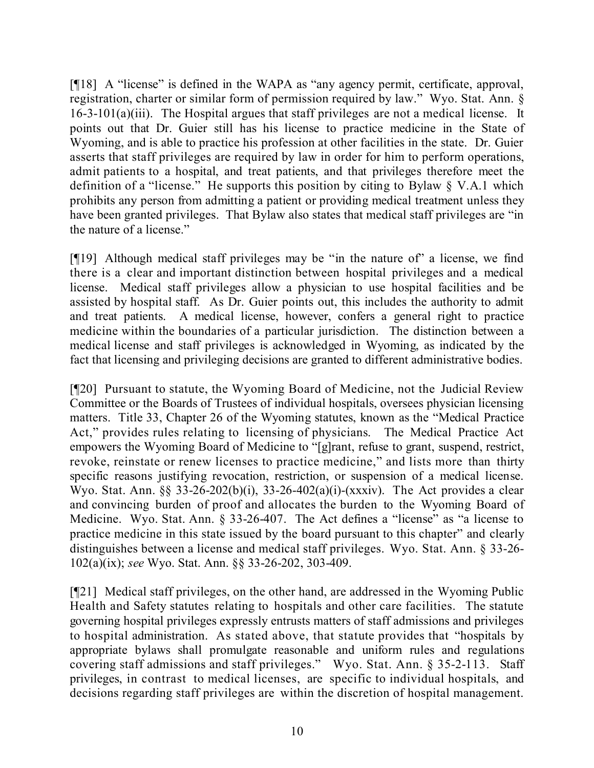[¶18] A "license" is defined in the WAPA as "any agency permit, certificate, approval, registration, charter or similar form of permission required by law." Wyo. Stat. Ann. § 16-3-101(a)(iii). The Hospital argues that staff privileges are not a medical license. It points out that Dr. Guier still has his license to practice medicine in the State of Wyoming, and is able to practice his profession at other facilities in the state. Dr. Guier asserts that staff privileges are required by law in order for him to perform operations, admit patients to a hospital, and treat patients, and that privileges therefore meet the definition of a "license." He supports this position by citing to Bylaw § V.A.1 which prohibits any person from admitting a patient or providing medical treatment unless they have been granted privileges. That Bylaw also states that medical staff privileges are "in the nature of a license."

[¶19] Although medical staff privileges may be "in the nature of" a license, we find there is a clear and important distinction between hospital privileges and a medical license. Medical staff privileges allow a physician to use hospital facilities and be assisted by hospital staff. As Dr. Guier points out, this includes the authority to admit and treat patients. A medical license, however, confers a general right to practice medicine within the boundaries of a particular jurisdiction. The distinction between a medical license and staff privileges is acknowledged in Wyoming, as indicated by the fact that licensing and privileging decisions are granted to different administrative bodies.

[¶20] Pursuant to statute, the Wyoming Board of Medicine, not the Judicial Review Committee or the Boards of Trustees of individual hospitals, oversees physician licensing matters. Title 33, Chapter 26 of the Wyoming statutes, known as the "Medical Practice Act," provides rules relating to licensing of physicians. The Medical Practice Act empowers the Wyoming Board of Medicine to "[g]rant, refuse to grant, suspend, restrict, revoke, reinstate or renew licenses to practice medicine," and lists more than thirty specific reasons justifying revocation, restriction, or suspension of a medical license. Wyo. Stat. Ann. §§ 33-26-202(b)(i), 33-26-402(a)(i)-(xxxiv). The Act provides a clear and convincing burden of proof and allocates the burden to the Wyoming Board of Medicine. Wyo. Stat. Ann. § 33-26-407. The Act defines a "license" as "a license to practice medicine in this state issued by the board pursuant to this chapter" and clearly distinguishes between a license and medical staff privileges. Wyo. Stat. Ann. § 33-26- 102(a)(ix); *see* Wyo. Stat. Ann. §§ 33-26-202, 303-409.

[¶21] Medical staff privileges, on the other hand, are addressed in the Wyoming Public Health and Safety statutes relating to hospitals and other care facilities. The statute governing hospital privileges expressly entrusts matters of staff admissions and privileges to hospital administration. As stated above, that statute provides that "hospitals by appropriate bylaws shall promulgate reasonable and uniform rules and regulations covering staff admissions and staff privileges." Wyo. Stat. Ann. § 35-2-113. Staff privileges, in contrast to medical licenses, are specific to individual hospitals, and decisions regarding staff privileges are within the discretion of hospital management.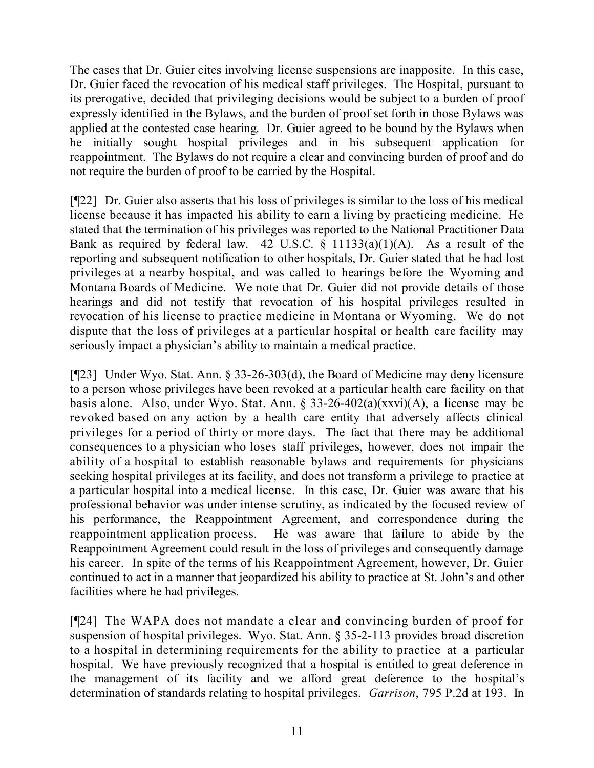The cases that Dr. Guier cites involving license suspensions are inapposite. In this case, Dr. Guier faced the revocation of his medical staff privileges. The Hospital, pursuant to its prerogative, decided that privileging decisions would be subject to a burden of proof expressly identified in the Bylaws, and the burden of proof set forth in those Bylaws was applied at the contested case hearing. Dr. Guier agreed to be bound by the Bylaws when he initially sought hospital privileges and in his subsequent application for reappointment. The Bylaws do not require a clear and convincing burden of proof and do not require the burden of proof to be carried by the Hospital.

[¶22] Dr. Guier also asserts that his loss of privileges is similar to the loss of his medical license because it has impacted his ability to earn a living by practicing medicine. He stated that the termination of his privileges was reported to the National Practitioner Data Bank as required by federal law. 42 U.S.C.  $\S$  11133(a)(1)(A). As a result of the reporting and subsequent notification to other hospitals, Dr. Guier stated that he had lost privileges at a nearby hospital, and was called to hearings before the Wyoming and Montana Boards of Medicine. We note that Dr. Guier did not provide details of those hearings and did not testify that revocation of his hospital privileges resulted in revocation of his license to practice medicine in Montana or Wyoming. We do not dispute that the loss of privileges at a particular hospital or health care facility may seriously impact a physician's ability to maintain a medical practice.

[¶23] Under Wyo. Stat. Ann. § 33-26-303(d), the Board of Medicine may deny licensure to a person whose privileges have been revoked at a particular health care facility on that basis alone. Also, under Wyo. Stat. Ann. § 33-26-402(a)(xxvi)(A), a license may be revoked based on any action by a health care entity that adversely affects clinical privileges for a period of thirty or more days. The fact that there may be additional consequences to a physician who loses staff privileges, however, does not impair the ability of a hospital to establish reasonable bylaws and requirements for physicians seeking hospital privileges at its facility, and does not transform a privilege to practice at a particular hospital into a medical license. In this case, Dr. Guier was aware that his professional behavior was under intense scrutiny, as indicated by the focused review of his performance, the Reappointment Agreement, and correspondence during the reappointment application process. He was aware that failure to abide by the Reappointment Agreement could result in the loss of privileges and consequently damage his career. In spite of the terms of his Reappointment Agreement, however, Dr. Guier continued to act in a manner that jeopardized his ability to practice at St. John's and other facilities where he had privileges.

[¶24] The WAPA does not mandate a clear and convincing burden of proof for suspension of hospital privileges. Wyo. Stat. Ann. § 35-2-113 provides broad discretion to a hospital in determining requirements for the ability to practice at a particular hospital. We have previously recognized that a hospital is entitled to great deference in the management of its facility and we afford great deference to the hospital's determination of standards relating to hospital privileges. *Garrison*, 795 P.2d at 193. In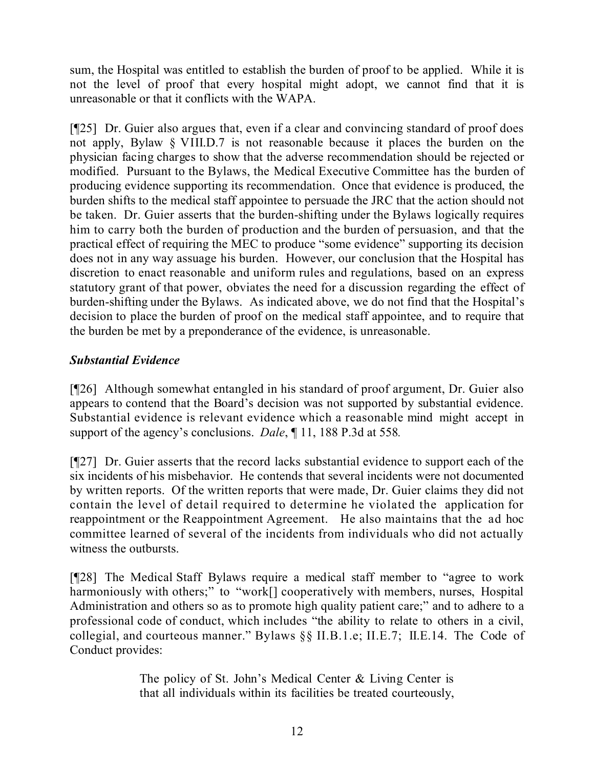sum, the Hospital was entitled to establish the burden of proof to be applied. While it is not the level of proof that every hospital might adopt, we cannot find that it is unreasonable or that it conflicts with the WAPA.

[¶25] Dr. Guier also argues that, even if a clear and convincing standard of proof does not apply, Bylaw § VIII.D.7 is not reasonable because it places the burden on the physician facing charges to show that the adverse recommendation should be rejected or modified. Pursuant to the Bylaws, the Medical Executive Committee has the burden of producing evidence supporting its recommendation. Once that evidence is produced, the burden shifts to the medical staff appointee to persuade the JRC that the action should not be taken. Dr. Guier asserts that the burden-shifting under the Bylaws logically requires him to carry both the burden of production and the burden of persuasion, and that the practical effect of requiring the MEC to produce "some evidence" supporting its decision does not in any way assuage his burden. However, our conclusion that the Hospital has discretion to enact reasonable and uniform rules and regulations, based on an express statutory grant of that power, obviates the need for a discussion regarding the effect of burden-shifting under the Bylaws. As indicated above, we do not find that the Hospital's decision to place the burden of proof on the medical staff appointee, and to require that the burden be met by a preponderance of the evidence, is unreasonable.

# *Substantial Evidence*

[¶26] Although somewhat entangled in his standard of proof argument, Dr. Guier also appears to contend that the Board's decision was not supported by substantial evidence. Substantial evidence is relevant evidence which a reasonable mind might accept in support of the agency's conclusions. *Dale*, ¶ 11, 188 P.3d at 558*.*

[¶27] Dr. Guier asserts that the record lacks substantial evidence to support each of the six incidents of his misbehavior. He contends that several incidents were not documented by written reports. Of the written reports that were made, Dr. Guier claims they did not contain the level of detail required to determine he violated the application for reappointment or the Reappointment Agreement. He also maintains that the ad hoc committee learned of several of the incidents from individuals who did not actually witness the outbursts.

[¶28] The Medical Staff Bylaws require a medical staff member to "agree to work harmoniously with others;" to "work<sup>[]</sup> cooperatively with members, nurses, Hospital Administration and others so as to promote high quality patient care;" and to adhere to a professional code of conduct, which includes "the ability to relate to others in a civil, collegial, and courteous manner." Bylaws §§ II.B.1.e; II.E.7; II.E.14. The Code of Conduct provides:

> The policy of St. John's Medical Center & Living Center is that all individuals within its facilities be treated courteously,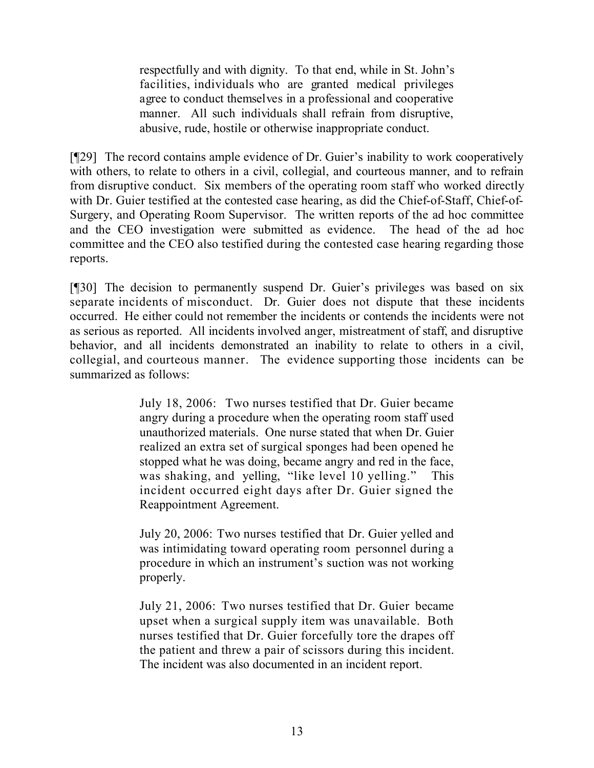respectfully and with dignity. To that end, while in St. John's facilities, individuals who are granted medical privileges agree to conduct themselves in a professional and cooperative manner. All such individuals shall refrain from disruptive, abusive, rude, hostile or otherwise inappropriate conduct.

[¶29] The record contains ample evidence of Dr. Guier's inability to work cooperatively with others, to relate to others in a civil, collegial, and courteous manner, and to refrain from disruptive conduct. Six members of the operating room staff who worked directly with Dr. Guier testified at the contested case hearing, as did the Chief-of-Staff, Chief-of-Surgery, and Operating Room Supervisor. The written reports of the ad hoc committee and the CEO investigation were submitted as evidence. The head of the ad hoc committee and the CEO also testified during the contested case hearing regarding those reports.

[¶30] The decision to permanently suspend Dr. Guier's privileges was based on six separate incidents of misconduct. Dr. Guier does not dispute that these incidents occurred. He either could not remember the incidents or contends the incidents were not as serious as reported. All incidents involved anger, mistreatment of staff, and disruptive behavior, and all incidents demonstrated an inability to relate to others in a civil, collegial, and courteous manner. The evidence supporting those incidents can be summarized as follows:

> July 18, 2006: Two nurses testified that Dr. Guier became angry during a procedure when the operating room staff used unauthorized materials. One nurse stated that when Dr. Guier realized an extra set of surgical sponges had been opened he stopped what he was doing, became angry and red in the face, was shaking, and yelling, "like level 10 yelling." This incident occurred eight days after Dr. Guier signed the Reappointment Agreement.

> July 20, 2006: Two nurses testified that Dr. Guier yelled and was intimidating toward operating room personnel during a procedure in which an instrument's suction was not working properly.

> July 21, 2006: Two nurses testified that Dr. Guier became upset when a surgical supply item was unavailable. Both nurses testified that Dr. Guier forcefully tore the drapes off the patient and threw a pair of scissors during this incident. The incident was also documented in an incident report.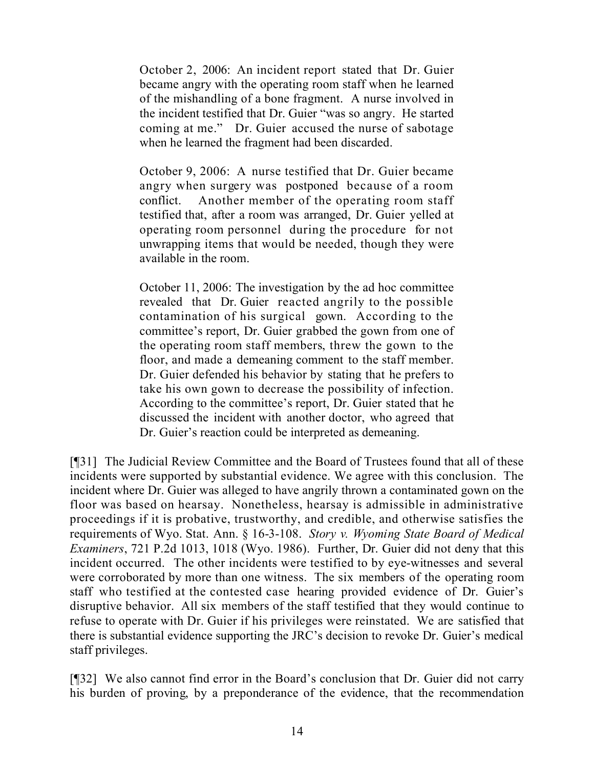October 2, 2006: An incident report stated that Dr. Guier became angry with the operating room staff when he learned of the mishandling of a bone fragment. A nurse involved in the incident testified that Dr. Guier "was so angry. He started coming at me." Dr. Guier accused the nurse of sabotage when he learned the fragment had been discarded.

October 9, 2006: A nurse testified that Dr. Guier became angry when surgery was postponed because of a room conflict. Another member of the operating room staff testified that, after a room was arranged, Dr. Guier yelled at operating room personnel during the procedure for not unwrapping items that would be needed, though they were available in the room.

October 11, 2006: The investigation by the ad hoc committee revealed that Dr. Guier reacted angrily to the possible contamination of his surgical gown. According to the committee's report, Dr. Guier grabbed the gown from one of the operating room staff members, threw the gown to the floor, and made a demeaning comment to the staff member. Dr. Guier defended his behavior by stating that he prefers to take his own gown to decrease the possibility of infection. According to the committee's report, Dr. Guier stated that he discussed the incident with another doctor, who agreed that Dr. Guier's reaction could be interpreted as demeaning.

[¶31] The Judicial Review Committee and the Board of Trustees found that all of these incidents were supported by substantial evidence. We agree with this conclusion. The incident where Dr. Guier was alleged to have angrily thrown a contaminated gown on the floor was based on hearsay. Nonetheless, hearsay is admissible in administrative proceedings if it is probative, trustworthy, and credible, and otherwise satisfies the requirements of Wyo. Stat. Ann. § 16-3-108. *Story v. Wyoming State Board of Medical Examiners*, 721 P.2d 1013, 1018 (Wyo. 1986). Further, Dr. Guier did not deny that this incident occurred. The other incidents were testified to by eye-witnesses and several were corroborated by more than one witness. The six members of the operating room staff who testified at the contested case hearing provided evidence of Dr. Guier's disruptive behavior. All six members of the staff testified that they would continue to refuse to operate with Dr. Guier if his privileges were reinstated. We are satisfied that there is substantial evidence supporting the JRC's decision to revoke Dr. Guier's medical staff privileges.

[¶32] We also cannot find error in the Board's conclusion that Dr. Guier did not carry his burden of proving, by a preponderance of the evidence, that the recommendation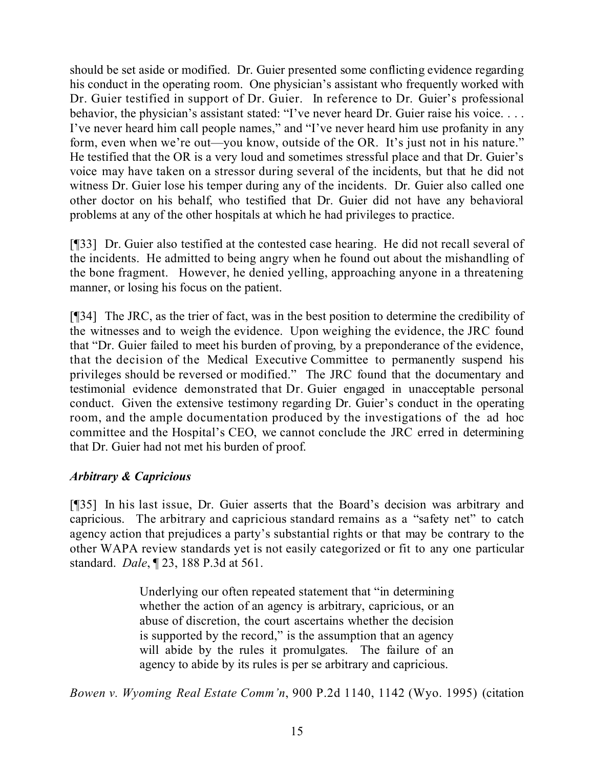should be set aside or modified. Dr. Guier presented some conflicting evidence regarding his conduct in the operating room. One physician's assistant who frequently worked with Dr. Guier testified in support of Dr. Guier. In reference to Dr. Guier's professional behavior, the physician's assistant stated: "I've never heard Dr. Guier raise his voice. . . . I've never heard him call people names," and "I've never heard him use profanity in any form, even when we're out—you know, outside of the OR. It's just not in his nature." He testified that the OR is a very loud and sometimes stressful place and that Dr. Guier's voice may have taken on a stressor during several of the incidents, but that he did not witness Dr. Guier lose his temper during any of the incidents. Dr. Guier also called one other doctor on his behalf, who testified that Dr. Guier did not have any behavioral problems at any of the other hospitals at which he had privileges to practice.

[¶33] Dr. Guier also testified at the contested case hearing. He did not recall several of the incidents. He admitted to being angry when he found out about the mishandling of the bone fragment. However, he denied yelling, approaching anyone in a threatening manner, or losing his focus on the patient.

[¶34] The JRC, as the trier of fact, was in the best position to determine the credibility of the witnesses and to weigh the evidence. Upon weighing the evidence, the JRC found that "Dr. Guier failed to meet his burden of proving, by a preponderance of the evidence, that the decision of the Medical Executive Committee to permanently suspend his privileges should be reversed or modified." The JRC found that the documentary and testimonial evidence demonstrated that Dr. Guier engaged in unacceptable personal conduct. Given the extensive testimony regarding Dr. Guier's conduct in the operating room, and the ample documentation produced by the investigations of the ad hoc committee and the Hospital's CEO, we cannot conclude the JRC erred in determining that Dr. Guier had not met his burden of proof.

## *Arbitrary & Capricious*

[¶35] In his last issue, Dr. Guier asserts that the Board's decision was arbitrary and capricious. The arbitrary and capricious standard remains as a "safety net" to catch agency action that prejudices a party's substantial rights or that may be contrary to the other WAPA review standards yet is not easily categorized or fit to any one particular standard. *Dale*, ¶ 23, 188 P.3d at 561.

> Underlying our often repeated statement that "in determining whether the action of an agency is arbitrary, capricious, or an abuse of discretion, the court ascertains whether the decision is supported by the record," is the assumption that an agency will abide by the rules it promulgates. The failure of an agency to abide by its rules is per se arbitrary and capricious.

*Bowen v. Wyoming Real Estate Comm'n*, 900 P.2d 1140, 1142 (Wyo. 1995) (citation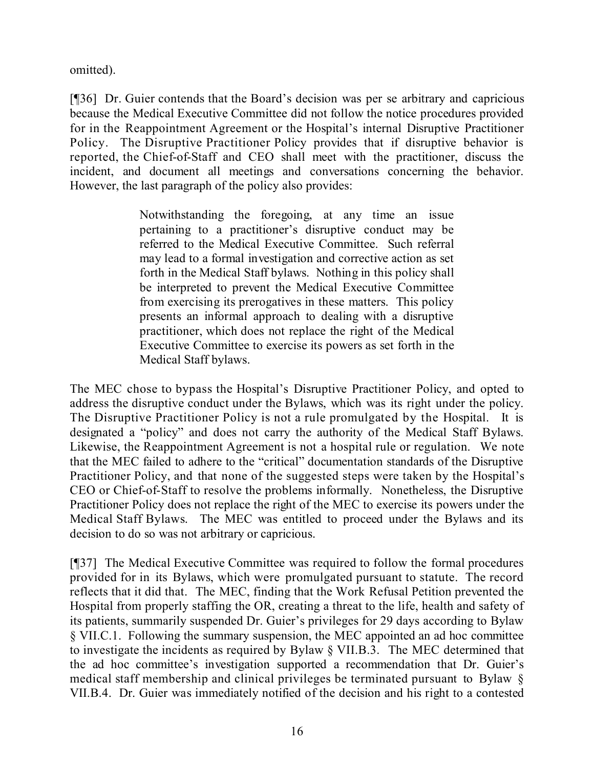omitted).

[¶36] Dr. Guier contends that the Board's decision was per se arbitrary and capricious because the Medical Executive Committee did not follow the notice procedures provided for in the Reappointment Agreement or the Hospital's internal Disruptive Practitioner Policy. The Disruptive Practitioner Policy provides that if disruptive behavior is reported, the Chief-of-Staff and CEO shall meet with the practitioner, discuss the incident, and document all meetings and conversations concerning the behavior. However, the last paragraph of the policy also provides:

> Notwithstanding the foregoing, at any time an issue pertaining to a practitioner's disruptive conduct may be referred to the Medical Executive Committee. Such referral may lead to a formal investigation and corrective action as set forth in the Medical Staff bylaws. Nothing in this policy shall be interpreted to prevent the Medical Executive Committee from exercising its prerogatives in these matters. This policy presents an informal approach to dealing with a disruptive practitioner, which does not replace the right of the Medical Executive Committee to exercise its powers as set forth in the Medical Staff bylaws.

The MEC chose to bypass the Hospital's Disruptive Practitioner Policy, and opted to address the disruptive conduct under the Bylaws, which was its right under the policy. The Disruptive Practitioner Policy is not a rule promulgated by the Hospital. It is designated a "policy" and does not carry the authority of the Medical Staff Bylaws. Likewise, the Reappointment Agreement is not a hospital rule or regulation. We note that the MEC failed to adhere to the "critical" documentation standards of the Disruptive Practitioner Policy, and that none of the suggested steps were taken by the Hospital's CEO or Chief-of-Staff to resolve the problems informally. Nonetheless, the Disruptive Practitioner Policy does not replace the right of the MEC to exercise its powers under the Medical Staff Bylaws. The MEC was entitled to proceed under the Bylaws and its decision to do so was not arbitrary or capricious.

[¶37] The Medical Executive Committee was required to follow the formal procedures provided for in its Bylaws, which were promulgated pursuant to statute. The record reflects that it did that. The MEC, finding that the Work Refusal Petition prevented the Hospital from properly staffing the OR, creating a threat to the life, health and safety of its patients, summarily suspended Dr. Guier's privileges for 29 days according to Bylaw § VII.C.1. Following the summary suspension, the MEC appointed an ad hoc committee to investigate the incidents as required by Bylaw § VII.B.3. The MEC determined that the ad hoc committee's investigation supported a recommendation that Dr. Guier's medical staff membership and clinical privileges be terminated pursuant to Bylaw § VII.B.4. Dr. Guier was immediately notified of the decision and his right to a contested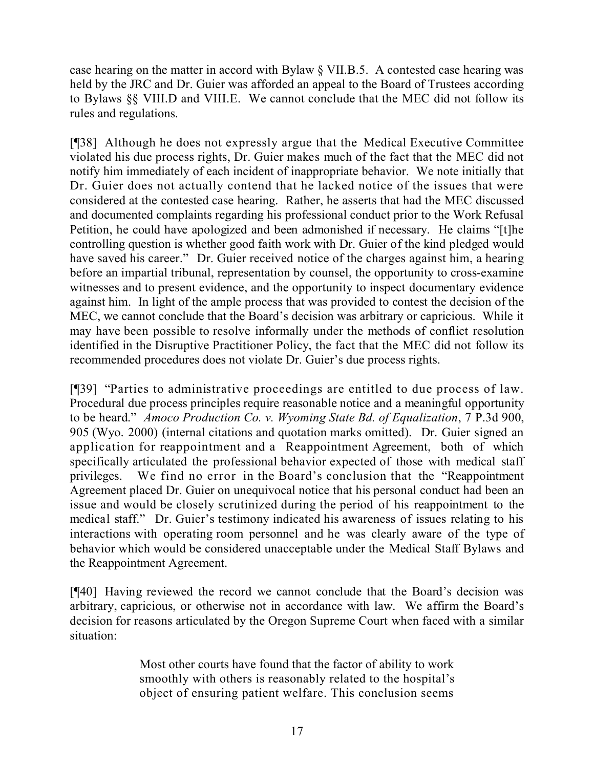case hearing on the matter in accord with Bylaw § VII.B.5. A contested case hearing was held by the JRC and Dr. Guier was afforded an appeal to the Board of Trustees according to Bylaws §§ VIII.D and VIII.E. We cannot conclude that the MEC did not follow its rules and regulations.

[¶38] Although he does not expressly argue that the Medical Executive Committee violated his due process rights, Dr. Guier makes much of the fact that the MEC did not notify him immediately of each incident of inappropriate behavior. We note initially that Dr. Guier does not actually contend that he lacked notice of the issues that were considered at the contested case hearing. Rather, he asserts that had the MEC discussed and documented complaints regarding his professional conduct prior to the Work Refusal Petition, he could have apologized and been admonished if necessary. He claims "[t]he controlling question is whether good faith work with Dr. Guier of the kind pledged would have saved his career." Dr. Guier received notice of the charges against him, a hearing before an impartial tribunal, representation by counsel, the opportunity to cross-examine witnesses and to present evidence, and the opportunity to inspect documentary evidence against him. In light of the ample process that was provided to contest the decision of the MEC, we cannot conclude that the Board's decision was arbitrary or capricious. While it may have been possible to resolve informally under the methods of conflict resolution identified in the Disruptive Practitioner Policy, the fact that the MEC did not follow its recommended procedures does not violate Dr. Guier's due process rights.

[¶39] "Parties to administrative proceedings are entitled to due process of law. Procedural due process principles require reasonable notice and a meaningful opportunity to be heard." *Amoco Production Co. v. Wyoming State Bd. of Equalization*, 7 P.3d 900, 905 (Wyo. 2000) (internal citations and quotation marks omitted). Dr. Guier signed an application for reappointment and a Reappointment Agreement, both of which specifically articulated the professional behavior expected of those with medical staff privileges. We find no error in the Board's conclusion that the "Reappointment Agreement placed Dr. Guier on unequivocal notice that his personal conduct had been an issue and would be closely scrutinized during the period of his reappointment to the medical staff." Dr. Guier's testimony indicated his awareness of issues relating to his interactions with operating room personnel and he was clearly aware of the type of behavior which would be considered unacceptable under the Medical Staff Bylaws and the Reappointment Agreement.

[¶40] Having reviewed the record we cannot conclude that the Board's decision was arbitrary, capricious, or otherwise not in accordance with law. We affirm the Board's decision for reasons articulated by the Oregon Supreme Court when faced with a similar situation:

> Most other courts have found that the factor of ability to work smoothly with others is reasonably related to the hospital's object of ensuring patient welfare. This conclusion seems